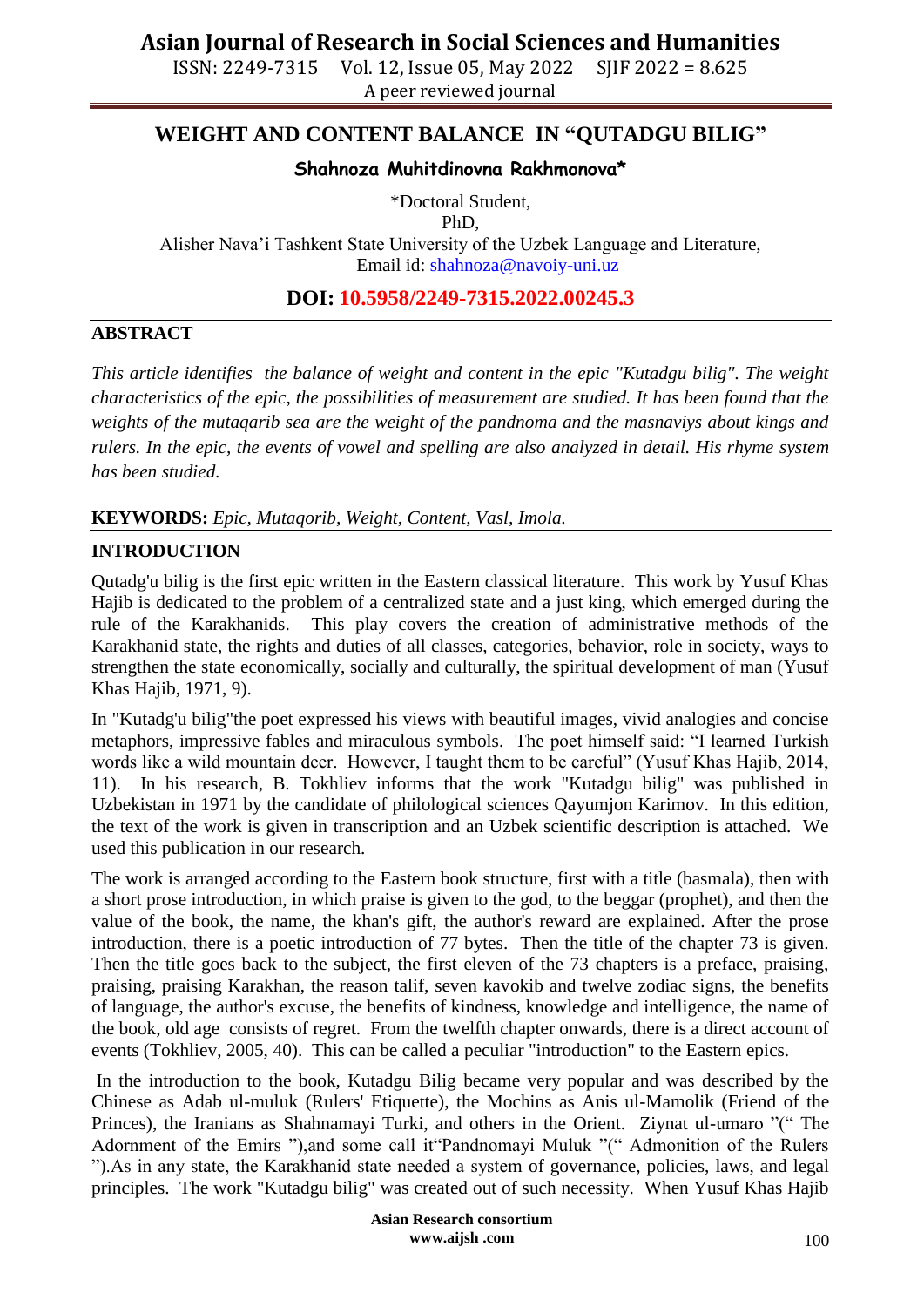ISSN: 2249-7315 Vol. 12, Issue 05, May 2022 SJIF 2022 = 8.625 A peer reviewed journal

### **WEIGHT AND CONTENT BALANCE IN "QUTADGU BILIG"**

#### **Shahnoza Muhitdinovna Rakhmonova\***

\*Doctoral Student,

PhD,

Alisher Nava'i Tashkent State University of the Uzbek Language and Literature, Email id: [shahnoza@navoiy-uni.uz](mailto:shahnoza@navoiy-uni.uz)

**DOI: 10.5958/2249-7315.2022.00245.3**

#### **ABSTRACT**

*This article identifies the balance of weight and content in the epic "Kutadgu bilig". The weight characteristics of the epic, the possibilities of measurement are studied. It has been found that the weights of the mutaqarib sea are the weight of the pandnoma and the masnaviys about kings and rulers. In the epic, the events of vowel and spelling are also analyzed in detail. His rhyme system has been studied.*

**KEYWORDS:** *Epic, Mutaqorib, Weight, Content, Vasl, Imola.*

#### **INTRODUCTION**

Qutadg'u bilig is the first epic written in the Eastern classical literature. This work by Yusuf Khas Hajib is dedicated to the problem of a centralized state and a just king, which emerged during the rule of the Karakhanids. This play covers the creation of administrative methods of the Karakhanid state, the rights and duties of all classes, categories, behavior, role in society, ways to strengthen the state economically, socially and culturally, the spiritual development of man (Yusuf Khas Hajib, 1971, 9).

In "Kutadg'u bilig"the poet expressed his views with beautiful images, vivid analogies and concise metaphors, impressive fables and miraculous symbols. The poet himself said: "I learned Turkish words like a wild mountain deer. However, I taught them to be careful" (Yusuf Khas Hajib, 2014, 11). In his research, B. Tokhliev informs that the work "Kutadgu bilig" was published in Uzbekistan in 1971 by the candidate of philological sciences Qayumjon Karimov. In this edition, the text of the work is given in transcription and an Uzbek scientific description is attached. We used this publication in our research.

The work is arranged according to the Eastern book structure, first with a title (basmala), then with a short prose introduction, in which praise is given to the god, to the beggar (prophet), and then the value of the book, the name, the khan's gift, the author's reward are explained. After the prose introduction, there is a poetic introduction of 77 bytes. Then the title of the chapter 73 is given. Then the title goes back to the subject, the first eleven of the 73 chapters is a preface, praising, praising, praising Karakhan, the reason talif, seven kavokib and twelve zodiac signs, the benefits of language, the author's excuse, the benefits of kindness, knowledge and intelligence, the name of the book, old age consists of regret. From the twelfth chapter onwards, there is a direct account of events (Tokhliev, 2005, 40). This can be called a peculiar "introduction" to the Eastern epics.

In the introduction to the book, Kutadgu Bilig became very popular and was described by the Chinese as Adab ul-muluk (Rulers' Etiquette), the Mochins as Anis ul-Mamolik (Friend of the Princes), the Iranians as Shahnamayi Turki, and others in the Orient. Ziynat ul-umaro "(" The Adornment of the Emirs "),and some call it "Pandnomayi Muluk "(" Admonition of the Rulers ").As in any state, the Karakhanid state needed a system of governance, policies, laws, and legal principles. The work "Kutadgu bilig" was created out of such necessity. When Yusuf Khas Hajib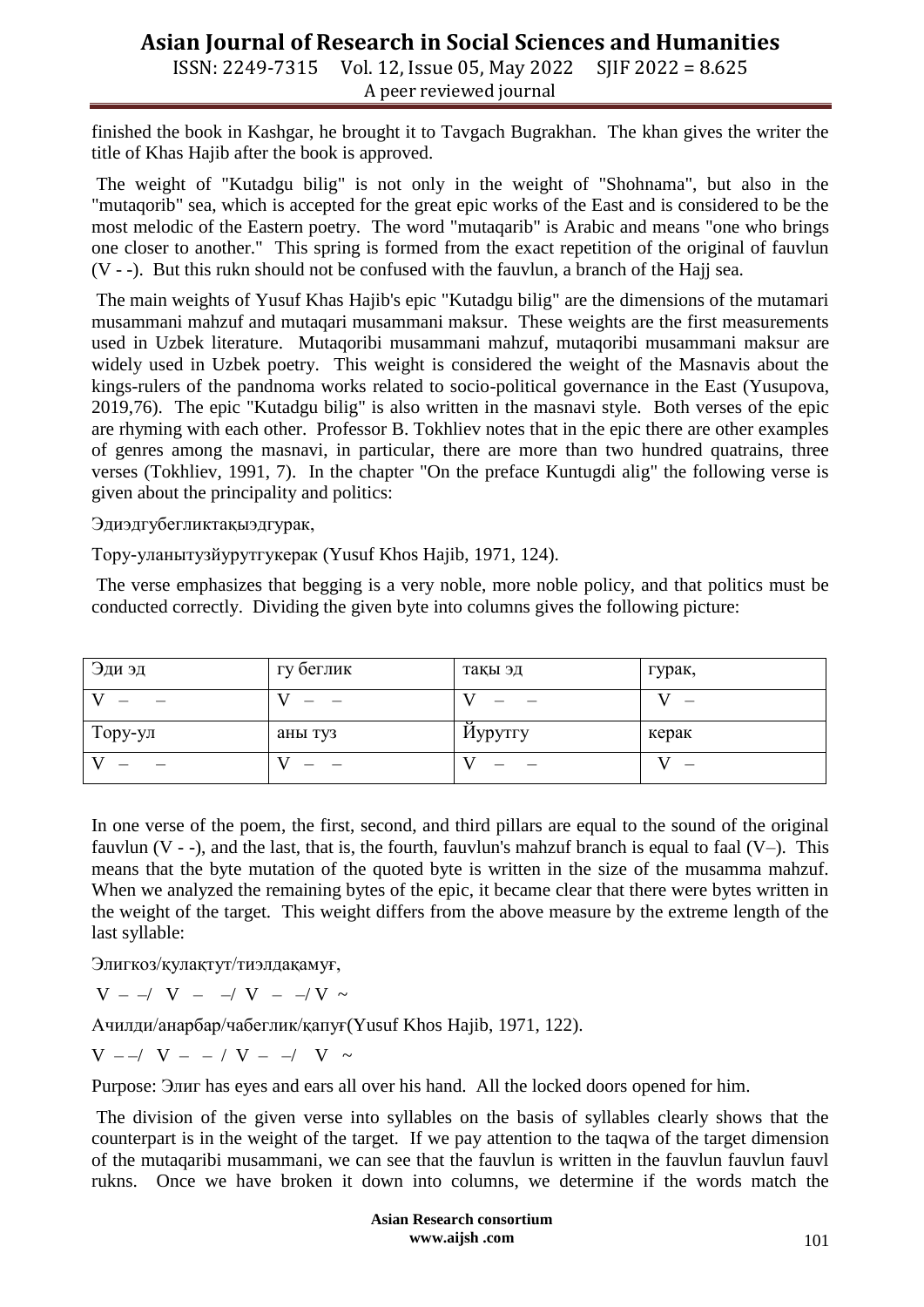ISSN: 2249-7315 Vol. 12, Issue 05, May 2022 SJIF 2022 = 8.625 A peer reviewed journal

finished the book in Kashgar, he brought it to Tavgach Bugrakhan. The khan gives the writer the title of Khas Hajib after the book is approved.

The weight of "Kutadgu bilig" is not only in the weight of "Shohnama", but also in the "mutaqorib" sea, which is accepted for the great epic works of the East and is considered to be the most melodic of the Eastern poetry. The word "mutaqarib" is Arabic and means "one who brings one closer to another." This spring is formed from the exact repetition of the original of fauvlun (V - -). But this rukn should not be confused with the fauvlun, a branch of the Hajj sea.

The main weights of Yusuf Khas Hajib's epic "Kutadgu bilig" are the dimensions of the mutamari musammani mahzuf and mutaqari musammani maksur. These weights are the first measurements used in Uzbek literature. Mutaqoribi musammani mahzuf, mutaqoribi musammani maksur are widely used in Uzbek poetry. This weight is considered the weight of the Masnavis about the kings-rulers of the pandnoma works related to socio-political governance in the East (Yusupova, 2019,76). The epic "Kutadgu bilig" is also written in the masnavi style. Both verses of the epic are rhyming with each other. Professor B. Tokhliev notes that in the epic there are other examples of genres among the masnavi, in particular, there are more than two hundred quatrains, three verses (Tokhliev, 1991, 7). In the chapter "On the preface Kuntugdi alig" the following verse is given about the principality and politics:

Эдиэдгубегликтақыэдгурак,

Тору-уланытузйурутгукерак (Yusuf Khos Hajib, 1971, 124).

The verse emphasizes that begging is a very noble, more noble policy, and that politics must be conducted correctly. Dividing the given byte into columns gives the following picture:

| Эди эд  | гу беглик | тақы эд | гурак, |
|---------|-----------|---------|--------|
|         |           |         |        |
| Тору-ул | аны туз   | Иурутгу | керак  |
|         |           |         |        |

In one verse of the poem, the first, second, and third pillars are equal to the sound of the original fauvlun  $(V - \cdot)$ , and the last, that is, the fourth, fauvlun's mahzuf branch is equal to faal  $(V -)$ . This means that the byte mutation of the quoted byte is written in the size of the musamma mahzuf. When we analyzed the remaining bytes of the epic, it became clear that there were bytes written in the weight of the target. This weight differs from the above measure by the extreme length of the last syllable:

Элигкоз/қулақтут/тиэлдақамуғ,

 $V - -/V - -/V - -/V \sim$ 

Ачилди/анарбар/чабеглик/қапуғ(Yusuf Khos Hajib, 1971, 122).

 $V - / V - / V - / V - / V$ 

Purpose: Элиг has eyes and ears all over his hand. All the locked doors opened for him.

The division of the given verse into syllables on the basis of syllables clearly shows that the counterpart is in the weight of the target. If we pay attention to the taqwa of the target dimension of the mutaqaribi musammani, we can see that the fauvlun is written in the fauvlun fauvlun fauvl rukns. Once we have broken it down into columns, we determine if the words match the

> **Asian Research consortium www.aijsh .com**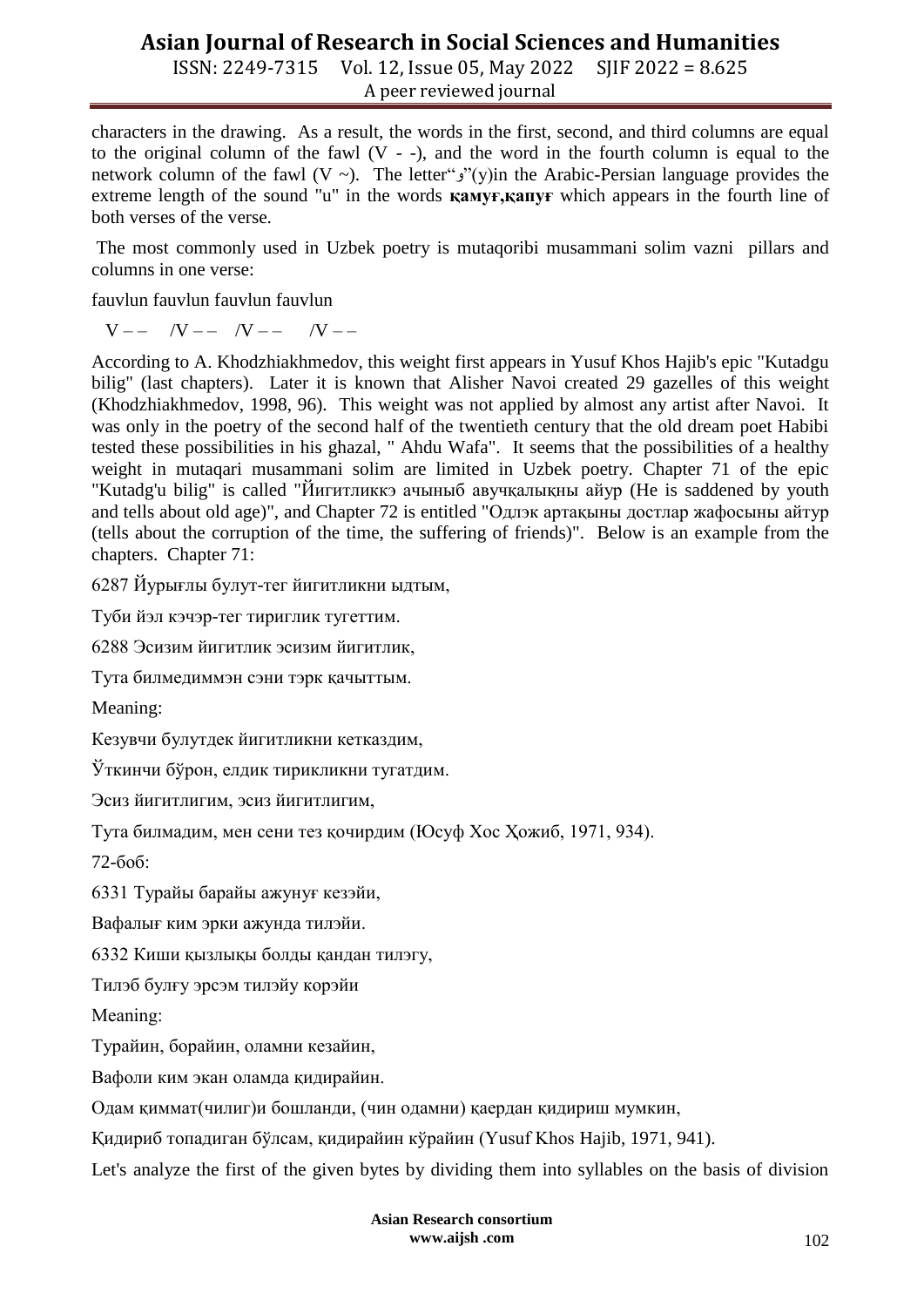ISSN: 2249-7315 Vol. 12, Issue 05, May 2022 SJIF 2022 = 8.625 A peer reviewed journal

characters in the drawing. As a result, the words in the first, second, and third columns are equal to the original column of the fawl  $(V - -)$ , and the word in the fourth column is equal to the network column of the fawl (V ~). The letter" $y''(y)$ in the Arabic-Persian language provides the extreme length of the sound "u" in the words **қамуғ,қапуғ** which appears in the fourth line of both verses of the verse.

The most commonly used in Uzbek poetry is mutaqoribi musammani solim vazni pillars and columns in one verse:

fauvlun fauvlun fauvlun fauvlun

 $V$  – –  $/V$  – –  $/V$  – –  $/V$  – –

According to A. Khodzhiakhmedov, this weight first appears in Yusuf Khos Hajib's epic "Kutadgu bilig" (last chapters). Later it is known that Alisher Navoi created 29 gazelles of this weight (Khodzhiakhmedov, 1998, 96). This weight was not applied by almost any artist after Navoi. It was only in the poetry of the second half of the twentieth century that the old dream poet Habibi tested these possibilities in his ghazal, " Ahdu Wafa". It seems that the possibilities of a healthy weight in mutaqari musammani solim are limited in Uzbek poetry. Chapter 71 of the epic "Kutadg'u bilig" is called "Йигитликкэ ачыныб авучқалықны айур (He is saddened by youth and tells about old age)", and Chapter 72 is entitled "Одлэк артақыны достлар жафосыны айтур (tells about the corruption of the time, the suffering of friends)". Below is an example from the chapters. Chapter 71:

6287 Йурығлы булут-тег йигитликни ыдтым,

Туби йэл кэчэр-тег тириглик тугеттим.

6288 Эсизим йигитлик эсизим йигитлик,

Тута билмедиммэн сэни тэрк қачыттым.

Meaning:

Кезувчи булутдек йигитликни кетказдим,

Ўткинчи бўрон, елдик тирикликни тугатдим.

Эсиз йигитлигим, эсиз йигитлигим,

Тута билмадим, мен сени тез қочирдим (Юсуф Хос Ҳожиб, 1971, 934).

72-боб:

6331 Турайы барайы ажунуғ кезэйи,

Вафалығ ким эрки ажунда тилэйи.

6332 Киши қызлықы болды қандан тилэгу,

Тилэб булғу эрсэм тилэйу корэйи

Мeaning:

Турайин, борайин, оламни кезайин,

Вафоли ким экан оламда қидирайин.

Одам қиммат(чилиг)и бошланди, (чин одамни) қаердан қидириш мумкин,

Қидириб топадиган бўлсам, қидирайин кўрайин (Yusuf Khos Hajib, 1971, 941).

Let's analyze the first of the given bytes by dividing them into syllables on the basis of division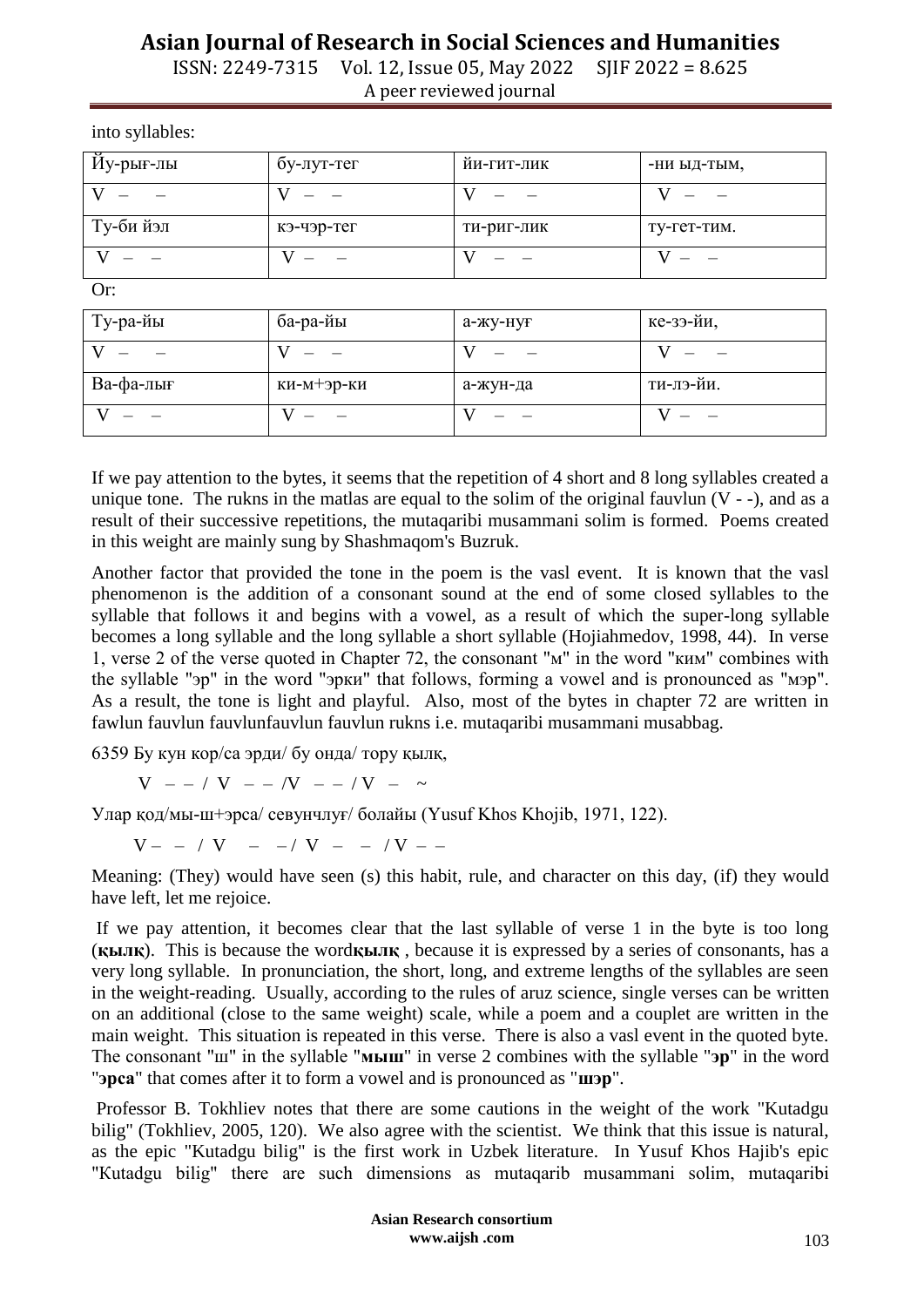ISSN: 2249-7315 Vol. 12, Issue 05, May 2022 SJIF 2022 = 8.625 A peer reviewed journal

into syllables:

| Йу-рығ-лы | бу-лут-тег | йи-гит-лик | -ни ыд-тым, |
|-----------|------------|------------|-------------|
|           |            |            |             |
| Ту-би йэл | кэ-чэр-тег | ти-риг-лик | ту-гет-тим. |
|           |            |            |             |

Or:

| Ту-ра-йы  | ба-ра-йы   | а-жу-нуғ | ке-зэ-йи, |
|-----------|------------|----------|-----------|
|           |            |          |           |
| Ва-фа-лығ | ки-м+эр-ки | а-жун-да | ти-лэ-йи. |
|           |            |          |           |

If we pay attention to the bytes, it seems that the repetition of 4 short and 8 long syllables created a unique tone. The rukns in the matlas are equal to the solim of the original fauvlun  $(V - -)$ , and as a result of their successive repetitions, the mutaqaribi musammani solim is formed. Poems created in this weight are mainly sung by Shashmaqom's Buzruk.

Another factor that provided the tone in the poem is the vasl event. It is known that the vasl phenomenon is the addition of a consonant sound at the end of some closed syllables to the syllable that follows it and begins with a vowel, as a result of which the super-long syllable becomes a long syllable and the long syllable a short syllable (Hojiahmedov, 1998, 44). In verse 1, verse 2 of the verse quoted in Chapter 72, the consonant "м" in the word "ким" combines with the syllable "эр" in the word "эрки" that follows, forming a vowel and is pronounced as "мэр". As a result, the tone is light and playful. Also, most of the bytes in chapter 72 are written in fawlun fauvlun fauvlunfauvlun fauvlun rukns i.e. mutaqaribi musammani musabbag.

6359 Бу кун кор/са эрди/ бу онда/ тору қылқ,

 $V - - / V - - /V - - /V - \sim$ 

Улар қод/мы-ш+эрса/ севунчлуғ/ болайы (Yusuf Khos Khojib, 1971, 122).

 $V - - / V - - / V - - / V - -$ 

Meaning: (They) would have seen (s) this habit, rule, and character on this day, (if) they would have left, let me rejoice.

If we pay attention, it becomes clear that the last syllable of verse 1 in the byte is too long (**қылқ**). This is because the word**қылқ** , because it is expressed by a series of consonants, has a very long syllable. In pronunciation, the short, long, and extreme lengths of the syllables are seen in the weight-reading. Usually, according to the rules of aruz science, single verses can be written on an additional (close to the same weight) scale, while a poem and a couplet are written in the main weight. This situation is repeated in this verse. There is also a vasl event in the quoted byte. The consonant "ш" in the syllable "**мыш**" in verse 2 combines with the syllable "**эр**" in the word "**эрса**" that comes after it to form a vowel and is pronounced as "**шэр**".

Professor B. Tokhliev notes that there are some cautions in the weight of the work "Kutadgu bilig" (Tokhliev, 2005, 120). We also agree with the scientist. We think that this issue is natural, as the epic "Kutadgu bilig" is the first work in Uzbek literature. In Yusuf Khos Hajib's epic "Кutadgu bilig" there are such dimensions as mutaqarib musammani solim, mutaqaribi

> **Asian Research consortium www.aijsh .com**